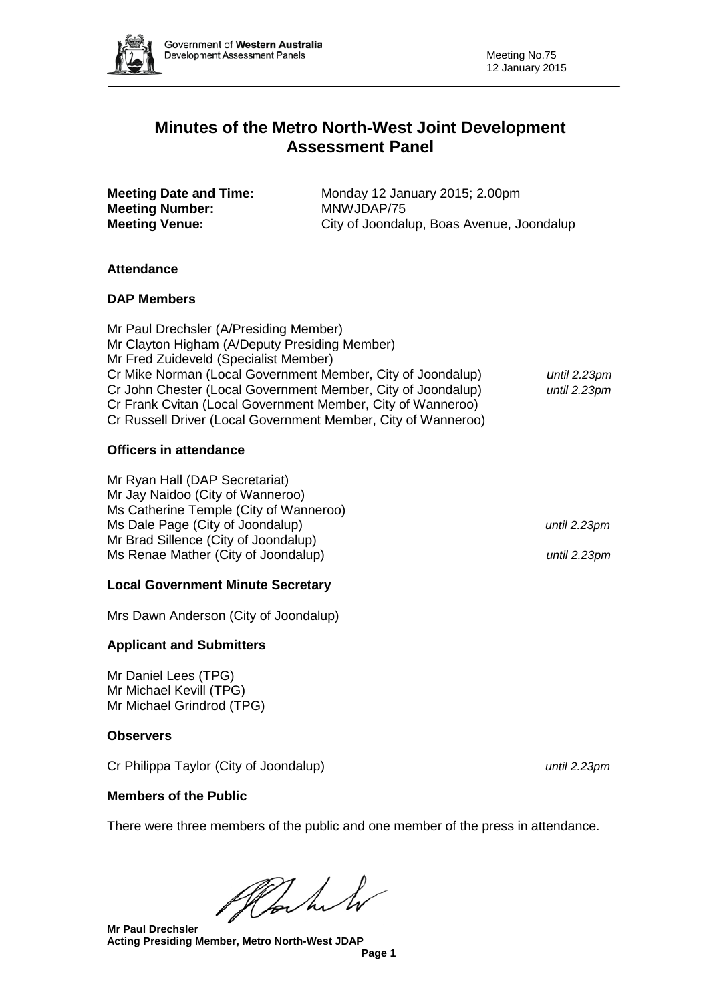

# **Minutes of the Metro North-West Joint Development Assessment Panel**

| <b>Meeting Date and Time:</b> | Monday 12 January 2015; 2.00pm            |
|-------------------------------|-------------------------------------------|
| <b>Meeting Number:</b>        | MNWJDAP/75                                |
| <b>Meeting Venue:</b>         | City of Joondalup, Boas Avenue, Joondalup |

### **Attendance**

### **DAP Members**

Mr Paul Drechsler (A/Presiding Member) Mr Clayton Higham (A/Deputy Presiding Member) Mr Fred Zuideveld (Specialist Member) Cr Mike Norman (Local Government Member, City of Joondalup) *until 2.23pm* Cr John Chester (Local Government Member, City of Joondalup) *until 2.23pm* Cr Frank Cvitan (Local Government Member, City of Wanneroo) Cr Russell Driver (Local Government Member, City of Wanneroo)

### **Officers in attendance**

Mr Ryan Hall (DAP Secretariat) Mr Jay Naidoo (City of Wanneroo) Ms Catherine Temple (City of Wanneroo) Ms Dale Page (City of Joondalup) *until 2.23pm* Mr Brad Sillence (City of Joondalup) Ms Renae Mather (City of Joondalup) *until 2.23pm*

## **Local Government Minute Secretary**

Mrs Dawn Anderson (City of Joondalup)

## **Applicant and Submitters**

Mr Daniel Lees (TPG) Mr Michael Kevill (TPG) Mr Michael Grindrod (TPG)

### **Observers**

Cr Philippa Taylor (City of Joondalup) *until 2.23pm*

**Members of the Public**

There were three members of the public and one member of the press in attendance.

Plachel

**Mr Paul Drechsler Acting Presiding Member, Metro North-West JDAP**

**Page 1**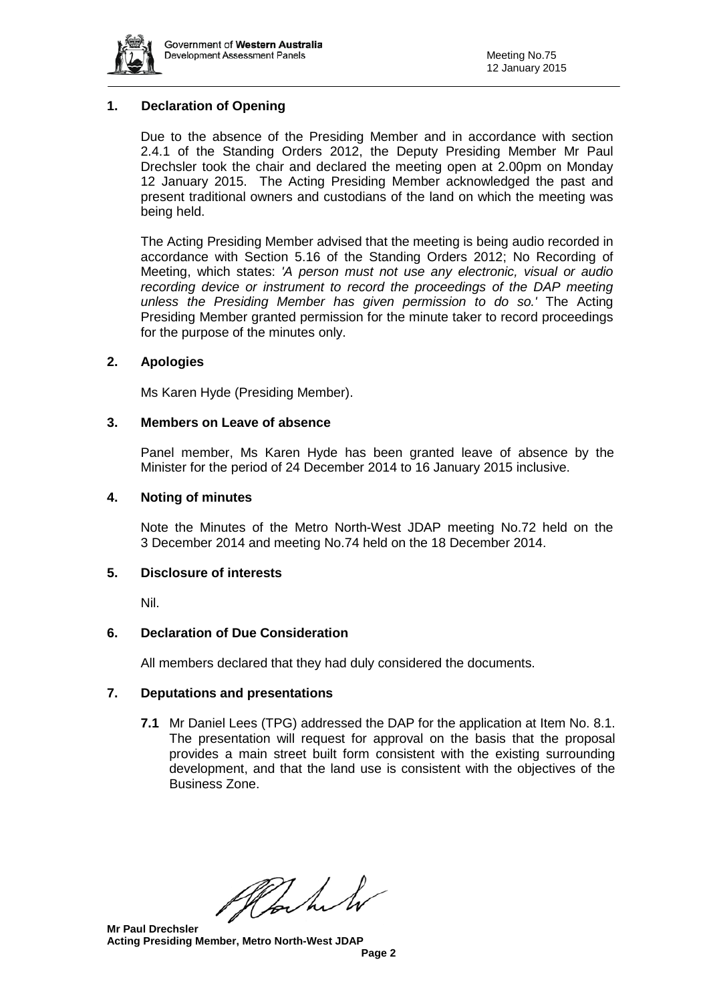

### **1. Declaration of Opening**

Due to the absence of the Presiding Member and in accordance with section 2.4.1 of the Standing Orders 2012, the Deputy Presiding Member Mr Paul Drechsler took the chair and declared the meeting open at 2.00pm on Monday 12 January 2015. The Acting Presiding Member acknowledged the past and present traditional owners and custodians of the land on which the meeting was being held.

The Acting Presiding Member advised that the meeting is being audio recorded in accordance with Section 5.16 of the Standing Orders 2012; No Recording of Meeting, which states: *'A person must not use any electronic, visual or audio recording device or instrument to record the proceedings of the DAP meeting unless the Presiding Member has given permission to do so.'* The Acting Presiding Member granted permission for the minute taker to record proceedings for the purpose of the minutes only.

#### **2. Apologies**

Ms Karen Hyde (Presiding Member).

#### **3. Members on Leave of absence**

Panel member, Ms Karen Hyde has been granted leave of absence by the Minister for the period of 24 December 2014 to 16 January 2015 inclusive.

#### **4. Noting of minutes**

Note the Minutes of the Metro North-West JDAP meeting No.72 held on the 3 December 2014 and meeting No.74 held on the 18 December 2014.

#### **5. Disclosure of interests**

Nil.

### **6. Declaration of Due Consideration**

All members declared that they had duly considered the documents.

### **7. Deputations and presentations**

**7.1** Mr Daniel Lees (TPG) addressed the DAP for the application at Item No. 8.1. The presentation will request for approval on the basis that the proposal provides a main street built form consistent with the existing surrounding development, and that the land use is consistent with the objectives of the Business Zone.

Plan h

#### **Mr Paul Drechsler Acting Presiding Member, Metro North-West JDAP**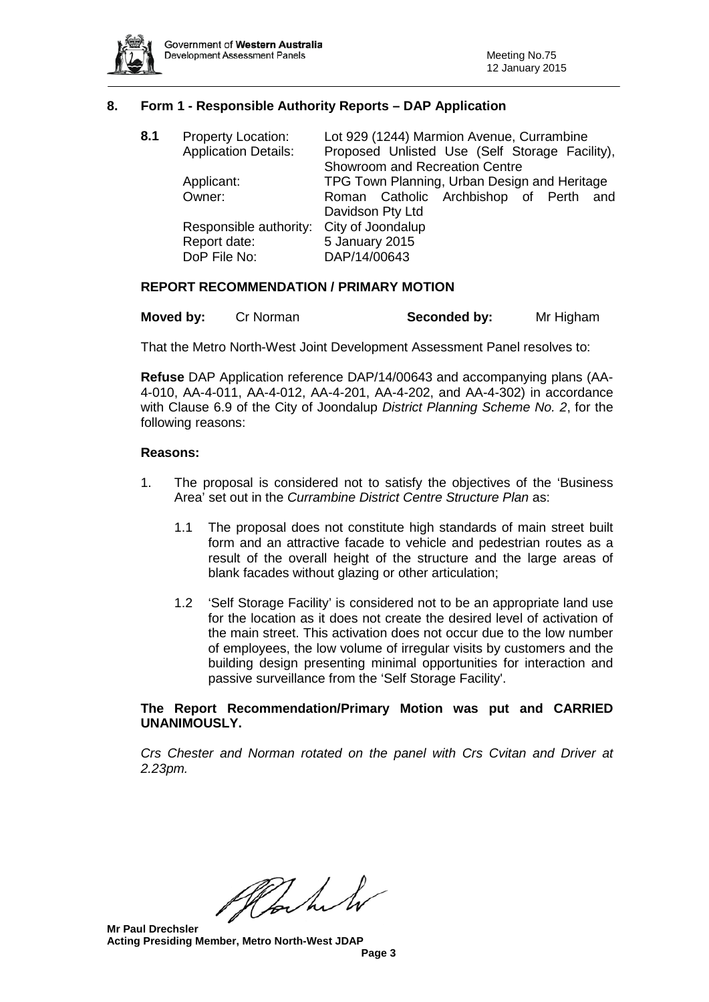

#### **8. Form 1 - Responsible Authority Reports – DAP Application**

| 8.1 | <b>Property Location:</b><br><b>Application Details:</b> | Lot 929 (1244) Marmion Avenue, Currambine<br>Proposed Unlisted Use (Self Storage Facility),<br>Showroom and Recreation Centre |  |  |
|-----|----------------------------------------------------------|-------------------------------------------------------------------------------------------------------------------------------|--|--|
|     | Applicant:                                               | TPG Town Planning, Urban Design and Heritage                                                                                  |  |  |
|     | Owner:                                                   | Roman Catholic Archbishop of Perth and<br>Davidson Pty Ltd                                                                    |  |  |
|     | Responsible authority:<br>Report date:<br>DoP File No:   | City of Joondalup<br>5 January 2015<br>DAP/14/00643                                                                           |  |  |

#### **REPORT RECOMMENDATION / PRIMARY MOTION**

| Moved by: | Cr Norman | Seconded by: | Mr Higham |
|-----------|-----------|--------------|-----------|
|-----------|-----------|--------------|-----------|

That the Metro North-West Joint Development Assessment Panel resolves to:

**Refuse** DAP Application reference DAP/14/00643 and accompanying plans (AA-4-010, AA-4-011, AA-4-012, AA-4-201, AA-4-202, and AA-4-302) in accordance with Clause 6.9 of the City of Joondalup *District Planning Scheme No. 2*, for the following reasons:

#### **Reasons:**

- 1. The proposal is considered not to satisfy the objectives of the 'Business Area' set out in the *Currambine District Centre Structure Plan* as:
	- 1.1 The proposal does not constitute high standards of main street built form and an attractive facade to vehicle and pedestrian routes as a result of the overall height of the structure and the large areas of blank facades without glazing or other articulation;
	- 1.2 'Self Storage Facility' is considered not to be an appropriate land use for the location as it does not create the desired level of activation of the main street. This activation does not occur due to the low number of employees, the low volume of irregular visits by customers and the building design presenting minimal opportunities for interaction and passive surveillance from the 'Self Storage Facility'.

#### **The Report Recommendation/Primary Motion was put and CARRIED UNANIMOUSLY.**

*Crs Chester and Norman rotated on the panel with Crs Cvitan and Driver at 2.23pm.*

Plant

**Mr Paul Drechsler Acting Presiding Member, Metro North-West JDAP**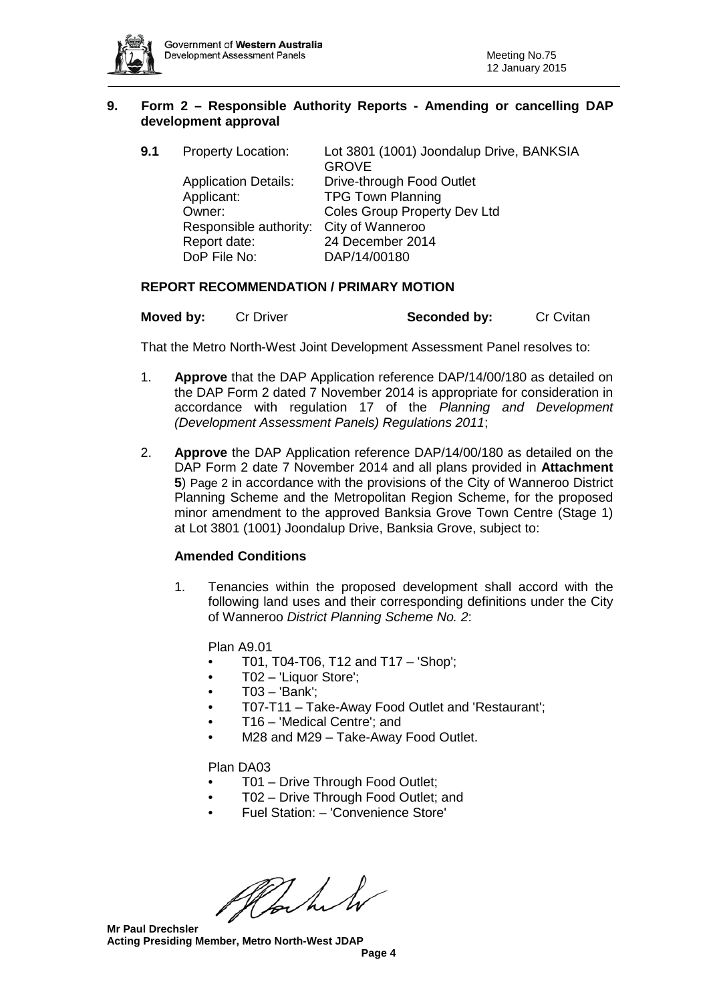

#### **9. Form 2 – Responsible Authority Reports - Amending or cancelling DAP development approval**

| 9.1 | <b>Property Location:</b>   | Lot 3801 (1001) Joondalup Drive, BANKSIA<br><b>GROVE</b> |
|-----|-----------------------------|----------------------------------------------------------|
|     | <b>Application Details:</b> | Drive-through Food Outlet                                |
|     | Applicant:                  | <b>TPG Town Planning</b>                                 |
|     | Owner:                      | Coles Group Property Dev Ltd                             |
|     | Responsible authority:      | City of Wanneroo                                         |
|     | Report date:                | 24 December 2014                                         |
|     | DoP File No:                | DAP/14/00180                                             |
|     |                             |                                                          |

### **REPORT RECOMMENDATION / PRIMARY MOTION**

| Moved by: | <b>Cr Driver</b> | Seconded by: | <b>Cr Cvitan</b> |
|-----------|------------------|--------------|------------------|
|-----------|------------------|--------------|------------------|

That the Metro North-West Joint Development Assessment Panel resolves to:

- 1. **Approve** that the DAP Application reference DAP/14/00/180 as detailed on the DAP Form 2 dated 7 November 2014 is appropriate for consideration in accordance with regulation 17 of the *Planning and Development (Development Assessment Panels) Regulations 2011*;
- 2. **Approve** the DAP Application reference DAP/14/00/180 as detailed on the DAP Form 2 date 7 November 2014 and all plans provided in **Attachment 5**) Page 2 in accordance with the provisions of the City of Wanneroo District Planning Scheme and the Metropolitan Region Scheme, for the proposed minor amendment to the approved Banksia Grove Town Centre (Stage 1) at Lot 3801 (1001) Joondalup Drive, Banksia Grove, subject to:

### **Amended Conditions**

1. Tenancies within the proposed development shall accord with the following land uses and their corresponding definitions under the City of Wanneroo *District Planning Scheme No. 2*:

Plan A9.01

- T01, T04-T06, T12 and T17 'Shop';
- T02 'Liquor Store';
- T03 'Bank';
- T07-T11 Take-Away Food Outlet and 'Restaurant';
- T16 'Medical Centre'; and
- M28 and M29 Take-Away Food Outlet.

### Plan DA03

- T01 Drive Through Food Outlet;
- T02 Drive Through Food Outlet; and
- Fuel Station: 'Convenience Store'

Hochet

**Mr Paul Drechsler Acting Presiding Member, Metro North-West JDAP**